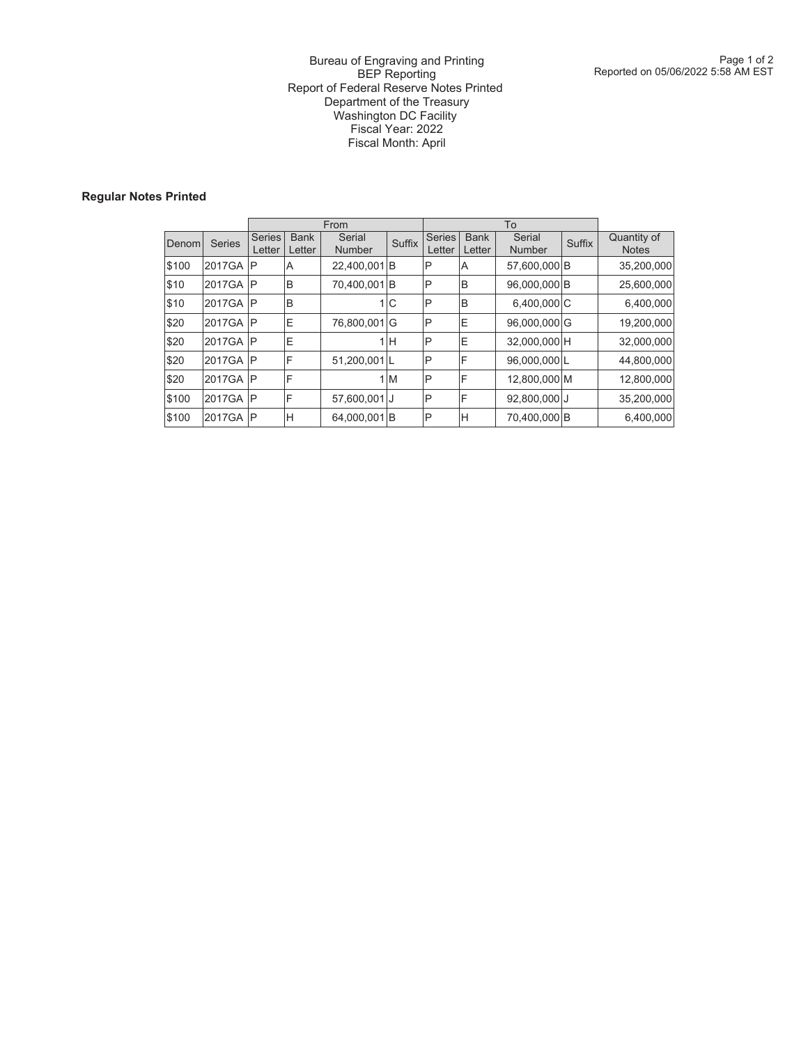### Bureau of Engraving and Printing BEP Reporting Report of Federal Reserve Notes Printed Department of the Treasury Washington DC Facility Fiscal Year: 2022 Fiscal Month: April

## **Regular Notes Printed**

|        |               |                         |                       | From                    |               |                         |                       |                         |               |                             |
|--------|---------------|-------------------------|-----------------------|-------------------------|---------------|-------------------------|-----------------------|-------------------------|---------------|-----------------------------|
| Denoml | <b>Series</b> | <b>Series</b><br>Letter | <b>Bank</b><br>Letter | Serial<br><b>Number</b> | <b>Suffix</b> | <b>Series</b><br>Letter | <b>Bank</b><br>Letter | Serial<br><b>Number</b> | <b>Suffix</b> | Quantity of<br><b>Notes</b> |
| \$100  | 2017GA        | P                       | A                     | 22,400,001 B            |               | ıP                      | A                     | 57,600,000 B            |               | 35,200,000                  |
| \$10   | 2017GA        | $\mathsf{P}$            | B                     | 70,400,001B             |               | ΙP                      | B                     | 96,000,000 B            |               | 25,600,000                  |
| \$10   | 2017GA        | $\mathsf{P}$            | B                     |                         | 1 C           | $\mathsf{P}$            | B                     | 6,400,000 C             |               | 6,400,000                   |
| \$20   | 2017GA        | $\mathsf{P}$            | Ε                     | 76,800,001G             |               | IP                      | ΙE                    | 96,000,000 G            |               | 19,200,000                  |
| \$20   | 2017GA        | $\mathsf{P}$            | E                     |                         | 1H            | IP                      | ΙE                    | 32,000,000 H            |               | 32,000,000                  |
| \$20   | 2017GA        | $\mathsf{P}$            | F                     | 51,200,001L             |               | ıP                      | ıF                    | 96,000,000L             |               | 44,800,000                  |
| \$20   | 2017GA        | $\mathsf{P}$            | F                     |                         | 1M            | $\mathsf{P}$            | F                     | 12,800,000 M            |               | 12,800,000                  |
| \$100  | 2017GA        | $\mathsf{P}$            | F                     | 57,600,001 J            |               | $\mathsf{P}$            | F                     | 92,800,000 J            |               | 35,200,000                  |
| \$100  | 2017GA        | $\mathsf{P}$            | Н                     | 64,000,001B             |               | ıP                      | Н                     | 70,400,000 B            |               | 6,400,000                   |